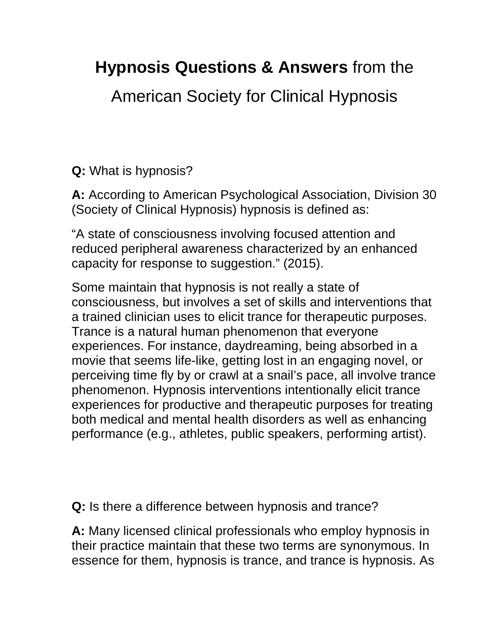## **Hypnosis Questions & Answers** from the

American Society for Clinical Hypnosis

**Q:** What is hypnosis?

**A:** According to American Psychological Association, Division 30 (Society of Clinical Hypnosis) hypnosis is defined as:

"A state of consciousness involving focused attention and reduced peripheral awareness characterized by an enhanced capacity for response to suggestion." (2015).

Some maintain that hypnosis is not really a state of consciousness, but involves a set of skills and interventions that a trained clinician uses to elicit trance for therapeutic purposes. Trance is a natural human phenomenon that everyone experiences. For instance, daydreaming, being absorbed in a movie that seems life-like, getting lost in an engaging novel, or perceiving time fly by or crawl at a snail's pace, all involve trance phenomenon. Hypnosis interventions intentionally elicit trance experiences for productive and therapeutic purposes for treating both medical and mental health disorders as well as enhancing performance (e.g., athletes, public speakers, performing artist).

**Q:** Is there a difference between hypnosis and trance?

**A:** Many licensed clinical professionals who employ hypnosis in their practice maintain that these two terms are synonymous. In essence for them, hypnosis is trance, and trance is hypnosis. As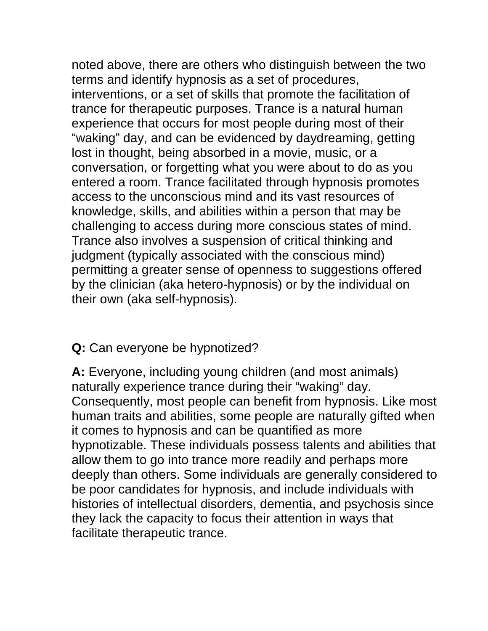noted above, there are others who distinguish between the two terms and identify hypnosis as a set of procedures, interventions, or a set of skills that promote the facilitation of trance for therapeutic purposes. Trance is a natural human experience that occurs for most people during most of their "waking" day, and can be evidenced by daydreaming, getting lost in thought, being absorbed in a movie, music, or a conversation, or forgetting what you were about to do as you entered a room. Trance facilitated through hypnosis promotes access to the unconscious mind and its vast resources of knowledge, skills, and abilities within a person that may be challenging to access during more conscious states of mind. Trance also involves a suspension of critical thinking and judgment (typically associated with the conscious mind) permitting a greater sense of openness to suggestions offered by the clinician (aka hetero-hypnosis) or by the individual on their own (aka self-hypnosis).

## **Q:** Can everyone be hypnotized?

**A:** Everyone, including young children (and most animals) naturally experience trance during their "waking" day. Consequently, most people can benefit from hypnosis. Like most human traits and abilities, some people are naturally gifted when it comes to hypnosis and can be quantified as more hypnotizable. These individuals possess talents and abilities that allow them to go into trance more readily and perhaps more deeply than others. Some individuals are generally considered to be poor candidates for hypnosis, and include individuals with histories of intellectual disorders, dementia, and psychosis since they lack the capacity to focus their attention in ways that facilitate therapeutic trance.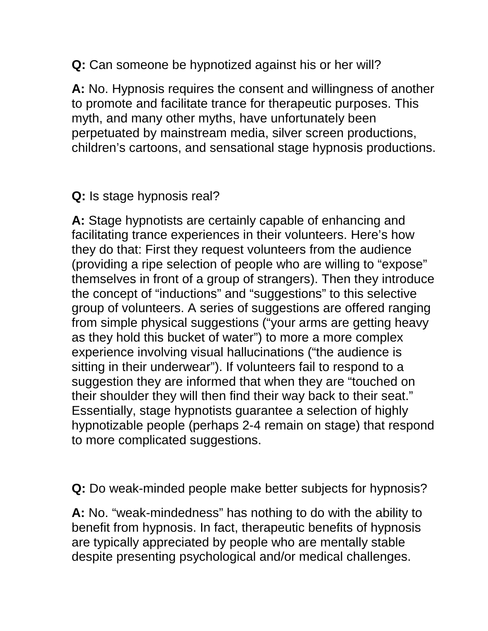**Q:** Can someone be hypnotized against his or her will?

**A:** No. Hypnosis requires the consent and willingness of another to promote and facilitate trance for therapeutic purposes. This myth, and many other myths, have unfortunately been perpetuated by mainstream media, silver screen productions, children's cartoons, and sensational stage hypnosis productions.

## **Q:** Is stage hypnosis real?

**A:** Stage hypnotists are certainly capable of enhancing and facilitating trance experiences in their volunteers. Here's how they do that: First they request volunteers from the audience (providing a ripe selection of people who are willing to "expose" themselves in front of a group of strangers). Then they introduce the concept of "inductions" and "suggestions" to this selective group of volunteers. A series of suggestions are offered ranging from simple physical suggestions ("your arms are getting heavy as they hold this bucket of water") to more a more complex experience involving visual hallucinations ("the audience is sitting in their underwear"). If volunteers fail to respond to a suggestion they are informed that when they are "touched on their shoulder they will then find their way back to their seat." Essentially, stage hypnotists guarantee a selection of highly hypnotizable people (perhaps 2-4 remain on stage) that respond to more complicated suggestions.

**Q:** Do weak-minded people make better subjects for hypnosis?

**A:** No. "weak-mindedness" has nothing to do with the ability to benefit from hypnosis. In fact, therapeutic benefits of hypnosis are typically appreciated by people who are mentally stable despite presenting psychological and/or medical challenges.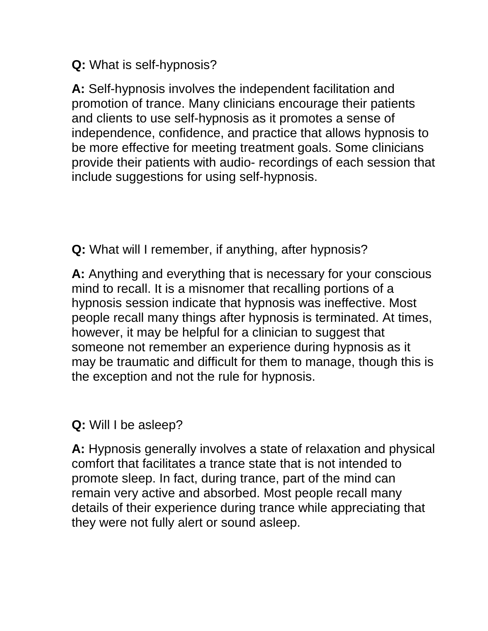**Q:** What is self-hypnosis?

**A:** Self-hypnosis involves the independent facilitation and promotion of trance. Many clinicians encourage their patients and clients to use self-hypnosis as it promotes a sense of independence, confidence, and practice that allows hypnosis to be more effective for meeting treatment goals. Some clinicians provide their patients with audio- recordings of each session that include suggestions for using self-hypnosis.

**Q:** What will I remember, if anything, after hypnosis?

**A:** Anything and everything that is necessary for your conscious mind to recall. It is a misnomer that recalling portions of a hypnosis session indicate that hypnosis was ineffective. Most people recall many things after hypnosis is terminated. At times, however, it may be helpful for a clinician to suggest that someone not remember an experience during hypnosis as it may be traumatic and difficult for them to manage, though this is the exception and not the rule for hypnosis.

**Q:** Will I be asleep?

**A:** Hypnosis generally involves a state of relaxation and physical comfort that facilitates a trance state that is not intended to promote sleep. In fact, during trance, part of the mind can remain very active and absorbed. Most people recall many details of their experience during trance while appreciating that they were not fully alert or sound asleep.